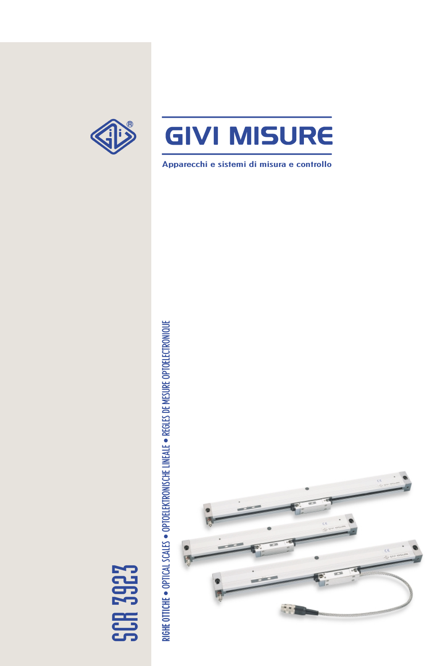

Apparecchi e sistemi di misura e controllo



RIGHE OTTICHE . OPTICAL SCALES . OPTOELEKTRONISCHE LINEALE . REGLES DE MESURE OPTOELECTRONIQUE • REGLES DE MESURE OPTOELECTRONIQUE • OPTOELEKTRONISCHE LINEALE • OPTICAL SCALES RIGHE OTTICHE

SCR 3923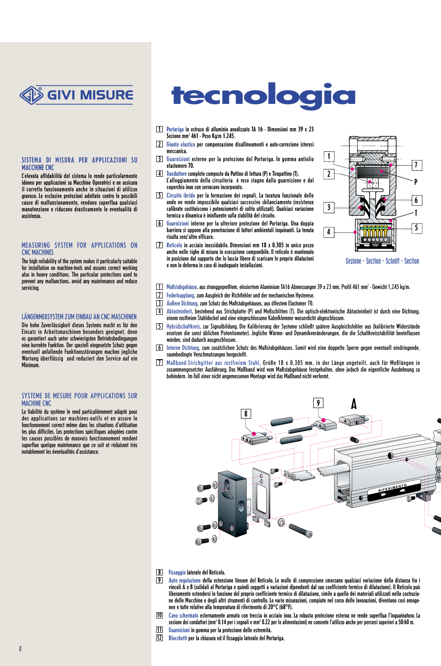

#### SISTEMA DI MISURA PER APPLICAZIONI SU MACCHINE CNC

L'elevata affidabilità del sistema lo rende particolarmente idoneo per applicazioni su Macchine Operatrici e ne assicura il corretto funzionamento anche in situazioni di utilizzo gravoso. Le esclusive protezioni adottate contro le possibili cause di malfunzionamento, rendono superflua qualsiasi manutenzione e riducono drasticamente le eventualità di assistenza.

#### MEASURING SYSTEM FOR APPLICATIONS ON CNC MACHINES

The high reliability of the system makes it particularly suitable for installation on machine-tools and assures correct working also in heavy conditions. The particular protections used to prevent any malfunctions, avoid any maintenance and reduce servicing.

#### LÄNGENMEßSYSTEM ZUM EINBAU AN CNC-MASCHINEN

Die hohe Zuverlässigkeit dieses Systems macht es für den Einsatz in Arbeitsmaschinen besonders geeignet, denn es garantiert auch unter schwierigsten Betriebsbedingungen eine korrekte Funktion. Der speziell eingesetzte Schutz gegen eventuell anfallende Funktionsstörungen machen jegliche Wartung überflüssig und reduziert den Service auf ein **Minimum** 

#### SYSTEME DE MESURE POUR APPLICATIONS SUR **MACHINE CNC**

La fiabilité du système le rend particulièrement adapté pour des applications sur machines-outils et en assure le fonctionnement correct même dans les situations d'utilisation les plus difficiles. Les protections spécifiques adoptées contre les causes possibles de mauvais fonctionnement rendent superflue quelque maintenance que ce soit et réduisent très notablement les éventualités d'assistance.

# **tecnologia**

- 1 Portariga in estruso di alluminio anodizzato TA 16 Dimensioni mm 39 x 23 Sezione mm2 461 - Peso Kg/m 1.245.
- 2 Giunto elastico per compensazione disallineamenti e auto-correzione isteresi meccanica.
- 3 Guarnizioni esterne per la protezione del Portariga. In gomma antiolio elastomero 70.
- 4 Trasduttore completo composto da Pattino di lettura (P) e Tirapattino (T). L'alloggiamento della circuiteria è reso stagno dalla guarnizione e dal coperchio inox con serracavo incorporato.
- 5 Circuito ibrido per la formazione dei segnali. La taratura funzionale delle onde ne rende impossibile qualsiasi successivo sbilanciamento (resistenze calibrate sostituiscono i potenziometri di solito utilizzati). Qualsiasi variazione termica o dinamica è ininfluente sulla stabilità del circuito.
- 6 Guarnizioni interne per la ulteriore protezione del Portariga. Una doppia barriera si oppone alla penetrazione di fattori ambientali inquinanti. La tenuta risulta senz'altro efficace.
- 7 Reticolo in acciaio inossidabile. Dimensioni mm 18 x 0.305 in unico pezzo anche nelle righe di misura in esecuzione componibile. Il reticolo è mantenuto in posizione dal supporto che lo lascia libero di scaricare le proprie dilatazioni e non lo deforma in caso di inadeguate installazioni.



Sezione - Section - Schnitt - Section

- $\overline{1}$  Maßstabgehäuse, aus stranggepreßtem, eloxiertem Aluminium TA16 Abmessungen 39 x 23 mm, Profil 461 mm² Gewicht 1,245 kg/m.
- 2 Federkupplung, zum Ausgleich der Richtfehler und der mechanischen Hysterese.
	- 3 Äußere Dichtung, zum Schutz des Maßstabgehäuses, aus ölfestem Elastomer 70.
	- 4 Abtasteinheit, bestehend aus Strichplatte (P) und Meßschlitten (T). Die optisch-elektronische Abtasteinheit ist durch eine Dichtung, einem rostfreien Stahldeckel und eine eingeschlossene Kabelklemme wasserdicht abgeschlossen.
	- 5 Hybridschaltkreis, zur Signalbildung. Die Kalibrierung der Systeme schließt spätere Ausgleichsfehler aus (kalibrierte Widerstände ersetzen die sonst üblichen Potentiometer). Jegliche Wärme- und Dynamikveränderungen, die die Schaltkreisstabilität beeinflussen<br>würden, sind dadurch ausgeschlossen.
	- 6 Interne Dichtung, zum zusätzlichen Schutz des Maßstabgehäuses. Somit wird eine doppelte Sperre gegen eventuell eindringende, raumbedingte Verschmutzungen hergestellt.
	- 7 Maßband-Strichgitter aus rostfreiem Stahl, Größe 18 x 0,305 mm, in der Länge ungeteilt, auch für Meßlängen in zusammengesetzter Ausführung. Das Maßband wird vom Maßstabgehäuse festgehalten, ohne jedoch die eigentliche Ausdehnung zu behindern. Im Fall einer nicht angemessenen Montage wird das Maßband nicht verformt.



- 8 Fissaggio laterale del Reticolo.
- 9 Auto regolazione della estensione lineare del Reticolo. Le molle di compressione smorzano qualsiasi variazione della distanza fra i vincoli A e B (solidali al Portariga e quindi soggetti a variazioni dipendenti dal suo coefficiente termico di dilatazione). Il Reticolo può liberamente estendersi in funzione del proprio coefficiente termico di dilatazione, simile a quello dei materiali utilizzati nella costruzione delle Macchine e degli altri strumenti di controllo. Le varie misurazioni, compiute nel corso delle lavorazioni, diventano così omogenee e tutte relative alla temperatura di riferimento di 20°C (68°F).
- Cavo schermato esternamente armato con treccia in acciaio inox. La robusta protezione esterna ne rende superflua l'inguainatura. La sezione dei conduttori (mm² 0.14 per i segnali e mm² 0.22 per le alimentazioni) ne consente l'utilizzo anche per percorsi superiori a 50/60 m. 10
- Guarnizioni in gomma per la protezione delle estremità. 11
- 12 Blocchetti per la chiusura ed il fissaggio laterale del Portariga.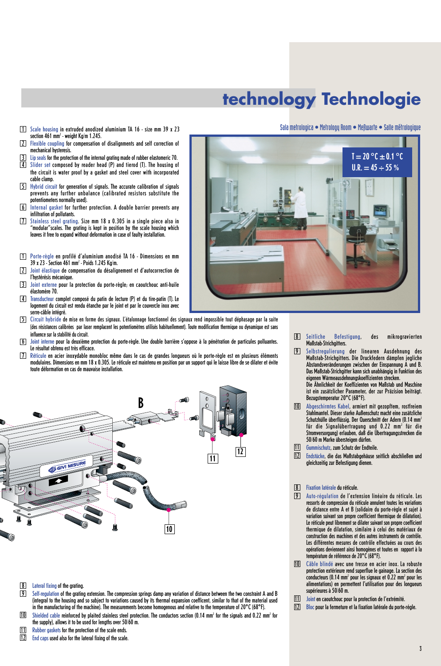# **technology Technologie**

- 1 Scale housing in extruded anodized aluminium TA 16 size mm 39 x 23 section 461 mm $^2$  - weight Kg/m 1.245.
- 2 Flexible coupling for compensation of disalignments and self correction of mechanical hysteresis.
- Lip seals for the protection of the internal grating made of rubber elastomeric 70.
- 4 Slider set composed by reader head (P) and tierod (T). The housing of the circuit is water proof by a gasket and steel cover with incorporated cable clamp.
- 5 Hybrid circuit for generation of signals. The accurate calibration of signals prevents any further unbalance (calibrated resistors substitute the potentiometers normally used).
- 6 Internal gasket for further protection. A double barrier prevents any infiltration of pollutants.
- 7 Stainless steel grating. Size mm 18 x 0.305 in a single piece also in "modular"scales. The grating is kept in position by the scale housing which leaves it free to expand without deformation in case of faulty installation.
- 1 Porte-règle en profilé d'aluminium anodisé TA 16 Dimensions en mm 39 x 23 - Section 461 mm2 - Poids 1.245 Kg/m.
- 2 Joint élastique de compensation du désalignement et d'autocorrection de l'hystérésis mécanique.
- 3 Joint externe pour la protection du porte-règle; en caoutchouc anti-huile élastomère 70.
- 4 Transducteur complet composé du patin de lecture (P) et du tire-patin (T). Le logement du circuit est rendu étanche par le joint et par le couvercle inox avec serre-câble intégré.
- 5 Circuit hybride de mise en forme des signaux. L'étalonnage fonctionnel des signaux rend impossible tout déphasage par la suite (des résistances calibrées par laser remplacent les potentiomètres utilisés habituellement). Toute modification thermique ou dynamique est sans influence sur la stabilité du circuit.
- 6 Joint interne pour la deuxième protection du porte-règle. Une double barrière s'oppose à la pénétration de particules polluantes. Le résultat obtenu est très efficace.
- 7 Réticule en acier inoxydable monobloc même dans le cas de grandes longueurs où le porte-règle est en plusieurs éléments modulaires. Dimensions en mm 18 x 0.305. Le réticule est maintenu en position par un support qui le laisse libre de se dilater et évite toute déformation en cas de mauvaise installation.



- 8 Lateral fixing of the grating.
- 9 Self-regulation of the grating extension. The compression springs damp any variation of distance between the two constraint A and B (integral to the housing and so subject to variations caused by its thermal expansion coefficent, similar to that of the material used in the manufacturing of the machine). The measurements become homogenous and relative to the temperature of  $20^{\circ}$ C (68°F).
- Shielded cable reinforced by plaited stainless steel protection. The conductors section (0.14 mm<sup>2</sup> for the signals and 0.22 mm<sup>2</sup> for the supply), allows it to be used for lengths over 50/60 m. 10
- Rubber gaskets for the protection of the scale ends. 11
- End caps used also for the lateral fixing of the scale. 12



- 8 Seitliche Befestigung, des mikrogravierten Maßstab-Strichgitters.
- 9 Selbstregulierung der linearen Ausdehnung des Maßstab-Strichgitters. Die Druckfedern dämpfen jegliche Abstandsveränderungen zwischen der Einspannung A und B. Das Maßstab-Strichgitter kann sich unabhängig in Funktion des eigenen Wärmeausdehnungskoeffizienten strecken. Die Ähnlichkeit der Koeffizienten von Maßstab und Maschine ist ein zusätzlicher Parameter, der zur Präzision beiträgt. Bezugstemperatur 20°C (68°F).
- Abgeschirmtes Kabel, armiert mit gezopftem, rostfreiem Stahlmantel. Dieser starke Außenschutz macht eine zusätzliche Schutzhülle überflüssig. Der Querschnitt der Adern (0.14 mm<sup>2</sup> für die Signalübertragung und 0.22 mm<sup>2</sup> für die Stromversorgung) erlauben, daß die Übertragungsstrecken die 50/60 m Marke übersteigen dürfen. 10
- Gummischutz, zum Schutz der Endteile. 11
- Endstücke, die das Maßstabgehäuse seitlich abschließen und gleichzeitig zur Befestigung dienen. 12

#### 8 Fixation latérale du réticule.

- 9 Auto-régulation de l'extension linéaire du réticule. Les ressorts de compression du réticule annulent toutes les variations de distance entre A et B (solidaire du porte-règle et sujet à variation suivant son propre coefficient thermique de dilatation). Le réticule peut librement se dilater suivant son propre coefficient thermique de dilatation, similaire à celui des matériaux de construction des machines et des autres instruments de contrôle. Les différentes mesures de contrôle effectuées au cours des opérations deviennent ainsi homogènes et toutes en rapport à la température de référence de 20°C (68°F).
- Câble blindé avec une tresse en acier inox. La robuste 10 protection extérieure rend superflue le gainage. La section des conducteurs  $(0.14 \text{ mm}^2)$  pour les signaux et  $0.22 \text{ mm}^2$  pour les alimentations) en permettent l'utilisation pour des longueurs supérieures à 50/60 m.
- Joint en caoutchouc pour la protection de l'extrémité. 11
- 12 Bloc pour la fermeture et la fixation latérale du porte-régle.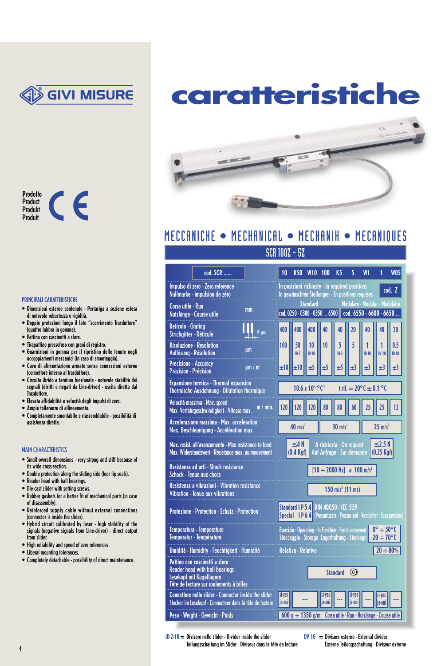

**caratteristiche**

ce



#### PRINCIPALI CARATTERISTICHE

- Dimensioni esterne contenute Portariga a sezione estesa di notevole robustezza e rigidità.
- Doppie protezioni lungo il lato "scorrimento Trasduttore" (quattro labbra in gomma).
- Pattino con cuscinetti a sfere.
- Tirapattino pressofuso con grani di registro.
- Guarnizioni in gomma per il ripristino delle tenute negli accoppiamenti meccanici (in caso di smontaggio).
- Cavo di alimentazione armato senza connessioni esterne (connettore interno al trasduttore).
- Circuito ibrido a taratura funzionale notevole stabilità dei segnali (diritti e negati da Line-driver) - uscita diretta dal **Trasduttore.**
- Elevata affidabilità e velocità degli impulsi di zero.
- Ampie tolleranze di allineamento.
- Completamente smontabile e riassemblabile possibilità di assistenza diretta.

#### MAIN CHARACTERISTICS

- Small overall dimensions very strong and stiff because of its wide cross-section.
- Double protection along the sliding side (four lip seals).
- Reader head with ball bearings.
- Die-cast slider with setting screws.
- Rubber gaskets for a better fit of mechanical parts (in case of disassembly).
- Reinforced supply cable without external connections (connector is inside the slider).
- Hybrid circuit calibrated by laser high stability of the signals (negative signals from Line-driver) - direct output from slider.
- High reliability and speed of zero references.
- Liberal mounting tolerances.
- Completely detachable possibility of direct maintenance.



# MECCANICHE • MECHANICAL • MECHANIK • MECANIQUES

## SCR 100Z - 5Z

Impulso di zero - Zero reference Nullmarke - impulsion de zéro

cod. SCR ......

mm

µm

µm / m

Espansione termica - Thermal expansion Thermische Ausdehnung - Dilatation thermique

Max. resist. all'avanzamento - Max resistance to feed Max. Widerstandswert - Résistance max. au mouvent

Resistenza ad urti - Shock resistance Schock - Tenue aux chocs

Temperatura - Temperature Temperatur - Température

Pattino con cuscinetti a sfere Reader head with ball bearings Lesekopf mit Kugellagern

Peso - Weight - Gewicht - Poids

Umidità - Humidity - Feuchtigkeit - Humidité

Protezione - Protection - Schutz - Protection

Resistenza a vibrazioni - Vibration resistance Vibration - Tenue aux vibrations

Tête de lecture sur roulements à billes Connettore nello slider - Connector inside the slide Stecker im Lesekopf - Connecteur dans la tête de lect

Velocità massima - Max. speed Max. Verfahrgeschwindigkeit - Vitesse max. Accelerazione massima - Max. acceleration Max. Beschleunigung - Accélération max.

Corsa utile - Run Nutzlänge - Course utile Reticolo - Grating Strichgitter - Réticule Risoluzione - Resolution Auflösung - Résolution Precisione - Accuracy Präzision - Précision

|                       | 10                                                                                                                                                                    | <b>K50</b>                                                                               | <b>W10</b>    | 100              | K5          | 5                | W <sub>1</sub> | 1                 | <b>W05</b>     |
|-----------------------|-----------------------------------------------------------------------------------------------------------------------------------------------------------------------|------------------------------------------------------------------------------------------|---------------|------------------|-------------|------------------|----------------|-------------------|----------------|
|                       | In posizioni richieste - In required positions<br>cod. Z<br>In gewünschten Stellungen - En positions requises                                                         |                                                                                          |               |                  |             |                  |                |                   |                |
|                       | <b>Standard</b><br>Modulare - Modular - Modulaire<br>cod. 0250 - 0300 - 0350  6500 cod. 6550 - 6600 - 6650                                                            |                                                                                          |               |                  |             |                  |                |                   |                |
| P um                  | 400                                                                                                                                                                   | 400                                                                                      | 400           | 40               | 40          | 20               | 40             | 40                | 20             |
|                       | 100                                                                                                                                                                   | 50<br>$ID-2$                                                                             | 10<br>$ID-10$ | 10               | 5<br>$ID-2$ | 5                | $ID-10$        | 1<br><b>DV 10</b> | 0.5<br>$ID-10$ |
| m                     | ±10                                                                                                                                                                   | ±10                                                                                      | ±5            | ±5               | ±5          | ±3               | ±3             | $\pm$ 3           | ±3             |
| ique                  |                                                                                                                                                                       | 10.6 x 10 <sup>6</sup> °C <sup>1</sup><br>f rif. $= 20^{\circ}$ C $\pm$ 0.1 $^{\circ}$ C |               |                  |             |                  |                |                   |                |
| m / min.              | 120                                                                                                                                                                   | 120                                                                                      | 120           | 80               | 80          | 60               | 25             | 25                | 12             |
|                       | $40 \text{ m/s}^2$<br>30 $m/s^2$<br>$25$ m/s <sup>2</sup>                                                                                                             |                                                                                          |               |                  |             |                  |                |                   |                |
| to feed<br>uvement    | $\leq$ 2.5 N<br>$\leq 4 N$<br>A richiesta - On request<br>Auf Anfrage - Sur demande<br>$(0.25$ Kgf)<br>(0.4 Kgf)                                                      |                                                                                          |               |                  |             |                  |                |                   |                |
|                       |                                                                                                                                                                       | $[10 \div 2000 \text{ Hz}]$ a 100 m/s <sup>2</sup>                                       |               |                  |             |                  |                |                   |                |
| œ                     |                                                                                                                                                                       | 150 m/s <sup>2</sup> (11 ms)                                                             |               |                  |             |                  |                |                   |                |
| ï                     | Standard I P 5 4 DIN 40050 / IEC 529<br>Special IP 6 4 (Pressurizzata - Pressurized - Verdichtet - Sous pression)                                                     |                                                                                          |               |                  |             |                  |                |                   |                |
|                       | $0^\circ \div 50^\circ C$<br><b>Esercizio - Operating - In Funktion - Fonctionnement</b><br>$-20 \div 70^{\circ}$ C<br>Stoccaggio - Storage - Lagerhaltung - Stockage |                                                                                          |               |                  |             |                  |                |                   |                |
| ié                    | $20 \div 80\%$<br><b>Relativa - Relative</b>                                                                                                                          |                                                                                          |               |                  |             |                  |                |                   |                |
|                       | <b>Standard</b><br>$(\circledcirc)$                                                                                                                                   |                                                                                          |               |                  |             |                  |                |                   |                |
| e slider<br>e lecture | si-yes<br>ja-oui                                                                                                                                                      |                                                                                          |               | si-yes<br>ja-oui |             | si-yes<br>ia-oui |                | <b>Ia-oui</b>     |                |
|                       | $600 g + 1350 g/m$<br>Corsa utile - Run - Nutzlänge - Course utile                                                                                                    |                                                                                          |               |                  |             |                  |                |                   |                |

 $ID-2/10 = Divisore$  nello slider - Divider inside the slider Teilungsschaltung im Slider - Diviseur dans la tête de lecture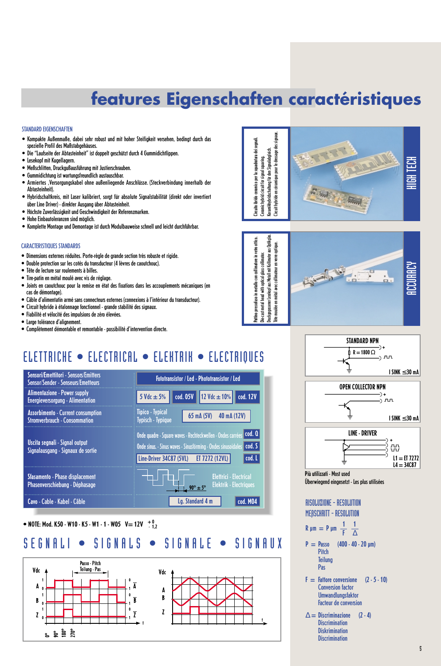# **features Eigenschaften caractéristiques**

#### STANDARD EIGENSCHAFTEN

- Kompakte Außenmaße, dabei sehr robust und mit hoher Steifigkeit versehen, bedingt durch das spezielle Profil des Maßstabgehäuses.
- Die "Laufseite der Abtasteinheit" ist doppelt geschützt durch 4 Gummidichtlippen.
- Lesekopf mit Kugellagern.
- Meßschlitten, Druckgußausführung mit Justierschrauben.
- Gummidichtung ist wartungsfreundlich austauschbar.
- Armiertes ,Versorgungskabel ohne außenliegende Anschlüsse. (Steckverbindung innerhalb der Abtasteinheit).
- Hybridschaltkreis, mit Laser kalibriert, sorgt für absolute Signalstabilität (direkt oder invertiert über Line Driver) - direkter Ausgang über Abtasteinheit.
- Höchste Zuverlässigkeit und Geschwindigkeit der Referenzmarken.
- Hohe Einbautoleranzen sind möglich.
- Komplette Montage und Demontage ist durch Modulbauweise schnell und leicht durchführbar.

#### CARACTERISTIQUES STANDARDS

- Dimensions externes réduites. Porte-règle de grande section très robuste et rigide.
- Double protection sur les cotés du transducteur (4 lèvres de caoutchouc).
- Tête de lecture sur roulements à billes.
- Tire-patin en métal moulé avec vis de réglage.
- Joints en caoutchouc pour la remise en état des fixations dans les accouplements mécaniques (en cas de démontage).
- Câble d'alimentatin armé sans connecteurs externes (connexions à l'intérieur du transducteur).
- Circuit hybride à étalonnage fonctionnel grande stabilité des signaux.
- Fiabilité et vélocité des impulsions de zéro élevées.
- Large tolérance d'alignement.
- Complètement démontable et remontable possibilité d'intervention directe.

# ELETTRICHE • ELECTRICAL • ELEKTRIK • ELECTRIQUES



### • NOTE: Mod. K50 - W10 - K5 - W1 - 1 - W05  $V= 12V$   $^{+0}_{-1,2}$

## SEGNALI • SIGNALS • SIGNALE • SIGNAUX









Überwiegend eingesetzt - Les plus utilisées

RISOLUZIONE - RESOLUTION MEßSCHRITT - RESOLUTION

$$
R \mu m = P \mu m \frac{1}{F} \frac{1}{\Delta}
$$

- $P = P$ asso (400 40 20 um) **Pitch Teilung** Pas
- $F =$  Fattore conversione  $(2 5 10)$ Conversion factor Umwandlungsfaktor Facteur de conversion
- $\Delta =$  Discriminazione (2 4) **Discrimination Diskrimination Discrimination**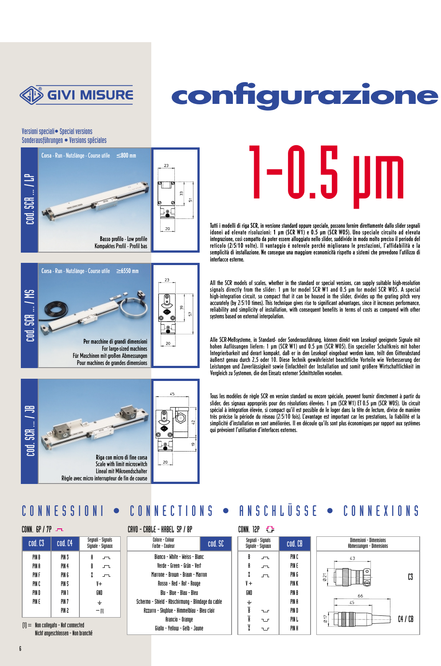

# **configurazione**

### Versioni speciali• Special versions Sonderausführungen • Versions spéciales







1-0.5 U

Tutti i modelli di riga SCR, in versione standard oppure speciale, possono fornire direttamente dallo slider segnali idonei ad elevate risoluzioni: 1 µm (SCR W1) e 0.5 µm (SCR W05). Uno speciale circuito ad elevata integrazione, così compatto da poter essere alloggiato nello slider, suddivide in modo molto preciso il periodo del reticolo (2/5/10 volte). Il vantaggio é notevole perché migliorano le prestazioni, l'affidabilità e la semplicità di installazione. Ne consegue una maggiore economicità rispetto a sistemi che prevedono l'utilizzo di interfacce esterne.

All the SCR models of scales, whether in the standard or special versions, can supply suitable high-resolution signals directly from the slider: 1 µm for model SCR W1 and 0.5 µm for model SCR W05. A special high-integration circuit, so compact that it can be housed in the slider, divides up the grating pitch very accurately (by 2/5/10 times). This technique gives rise to significant advantages, since it increases performance, reliability and simplicity of installation, with consequent benefits in terms of costs as compared with other systems based on external interpolation.

Alle SCR-Meßsysteme, in Standard- oder Sonderausführung, können direkt vom Lesekopf geeignete Signale mit hohen Auflösungen liefern: 1 µm (SCR W1) und 0.5 µm (SCR W05). Ein spezieller Schaltkreis mit hoher Integrierbarkeit und derart kompakt, daß er in den Lesekopf eingebaut werden kann, teilt den Gitterabstand äußerst genau durch 2,5 oder 10. Diese Technik gewährleistet beachtliche Vorteile wie Verbesserung der Leistungen und Zuverlässigkeit sowie Einfachheit der Installation und somit größere Wirtschaftlichkeit im Vergleich zu Systemen, die den Einsatz externer Schnittstellen vorsehen.

Tous les modèles de règle SCR en version standard ou encore spéciale, peuvent fournir directement à partir du slider, des signaux appropriés pour des résolutions élevées: 1 µm (SCR W1) ET 0.5 µm (SCR W05). Un circuit spécial à intégration élevée, si compact qu'il est possible de le loger dans la tête de lecture, divise de manière très précise la période du réseau (2/5/10 fois). L'avantage est important car les prestations, la fiabilité et la simplicité d'installation en sont améliorées. Il en découle qu'ils sont plus économiques par rapport aux systèmes qui prévoient l'utilisation d'interfaces externes.

# CONNESSIONI • CONNECTIONS • ANSCHL Ü SSE • CONNEXIONS

| cod. C3 | cod. C4          | Seonali - Sionals<br>Signale - Signaux |
|---------|------------------|----------------------------------------|
| PIN B   | PIN 3            | A                                      |
| PIN A   | PIN <sub>4</sub> | R                                      |
| PIN F   | PIN 6            | 7.                                     |
| PIN C   | PIN <sub>5</sub> | V+                                     |
| PIN D   | PIN 1            | GND                                    |
| PIN E   | PIN <sub>7</sub> | ┶                                      |
|         | PIN 2            | M                                      |

(1) = Non collegato - Not connected Nicht angeschlossen - Non branché

| Seqnali – Siqnals<br>Signale – Signaux | Colore - Colour<br>Farbe – Couleur                 | cod. SC |                         | Segnali - Signals<br>Signale – Signaux | cod. CB |
|----------------------------------------|----------------------------------------------------|---------|-------------------------|----------------------------------------|---------|
| A<br>ᅩ                                 | Bianco – White – Weiss – Blanc                     |         | B                       | ᅩ                                      | PIN C   |
| R<br>$\Gamma$                          | Verde – Green – Grün – Vert                        |         | A                       | $\sqrt{2}$                             | PIN E   |
| $\overline{\phantom{a}}$               | Marrone – Brown – Braun – Marron                   |         | 7.                      | 工                                      | PIN G   |
| V+                                     | Rosso - Red - Rot - Rouge                          |         | $^{\prime}$             |                                        | PIN K   |
| GND                                    | Blu - Blue - Blau - Bleu                           |         | GND                     |                                        | PIN B   |
| $\div$                                 | Schermo – Shield – Abschirmung – Blindage du cable |         |                         |                                        | PIN A   |
| $-$ [1]                                | Azzurro - Skublue - Himmelblau - Bleu clair        |         | $\overline{\mathbf{B}}$ | T                                      | PIN D   |
|                                        | Arancio – Orange                                   |         | Ĥ                       | T                                      | PIN L   |
| $\overline{a}$                         | Giallo – Yellow – Gelb – Jaune                     |         | 7.                      | ᅟᅩ                                     | PIN H   |

| Seonali - Sionals<br>Signale - Signaux |  | cod. CB |  |  |
|----------------------------------------|--|---------|--|--|
| B                                      |  | PIN C   |  |  |
| A                                      |  | PIN E   |  |  |
| 7.                                     |  | PIN G   |  |  |
| V+                                     |  | PIN K   |  |  |
| GND                                    |  | PIN B   |  |  |
| $\div$                                 |  | PIN A   |  |  |
| $\bar{\mathbf{B}}$                     |  | PIN D   |  |  |
| $\overline{\mathbf{g}}$                |  | PIN L   |  |  |
| 7                                      |  | PIN H   |  |  |

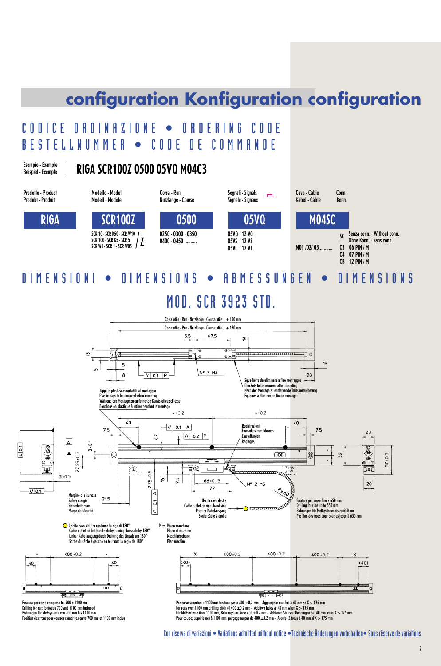# **configuration Konfiguration configuration**

# CODICE ORDINAZIONE • ORDERING CODE BESTELLNUMMER • CODE DE COMMANDE

Esempio - Example Beispiel - Exemple

# RIGA SCR100Z 0500 05VQ M04C3



## DIMENSIONI • DIMENSIONS • ABMESSUNGEN • DIMENSIONS

# **MOD. SCR 3923 STN**



Con riserva di variazioni • Variations admitted without notice •Technische Änderungen vorbehalten• Sous réserve de variations